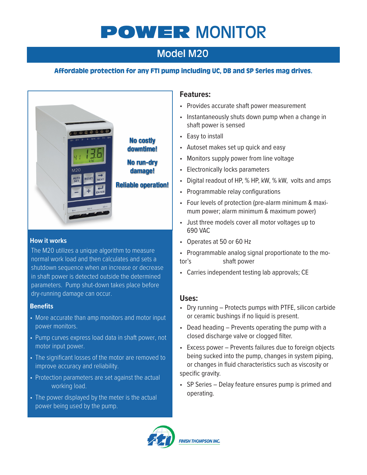# POWER MONITOR

# Model M20

### Affordable protection for any FTI pump including UC, DB and SP Series mag drives.



**Reliable operation!** 

#### **How it works**

The M20 utilizes a unique algorithm to measure normal work load and then calculates and sets a shutdown sequence when an increase or decrease in shaft power is detected outside the determined parameters. Pump shut-down takes place before dry-running damage can occur.

#### **Benefits**

- More accurate than amp monitors and motor input power monitors.
- Pump curves express load data in shaft power, not motor input power.
- The significant losses of the motor are removed to improve accuracy and reliability.
- Protection parameters are set against the actual working load.
- The power displayed by the meter is the actual power being used by the pump.

#### **Features:**

- Provides accurate shaft power measurement
- Instantaneously shuts down pump when a change in shaft power is sensed
- Easy to install
- Autoset makes set up quick and easy
- Monitors supply power from line voltage
- Electronically locks parameters
- Digital readout of HP, % HP, kW, % kW, volts and amps
- Programmable relay configurations
- Four levels of protection (pre-alarm minimum & maximum power; alarm minimum & maximum power)
- Just three models cover all motor voltages up to 690 VAC
- Operates at 50 or 60 Hz
- Programmable analog signal proportionate to the motor's shaft power
- Carries independent testing lab approvals; CE

#### **Uses:**

- Dry running Protects pumps with PTFE, silicon carbide or ceramic bushings if no liquid is present.
- Dead heading Prevents operating the pump with a closed discharge valve or clogged filter.
- Excess power Prevents failures due to foreign objects being sucked into the pump, changes in system piping, or changes in fluid characteristics such as viscosity or specific gravity.
- SP Series Delay feature ensures pump is primed and operating.